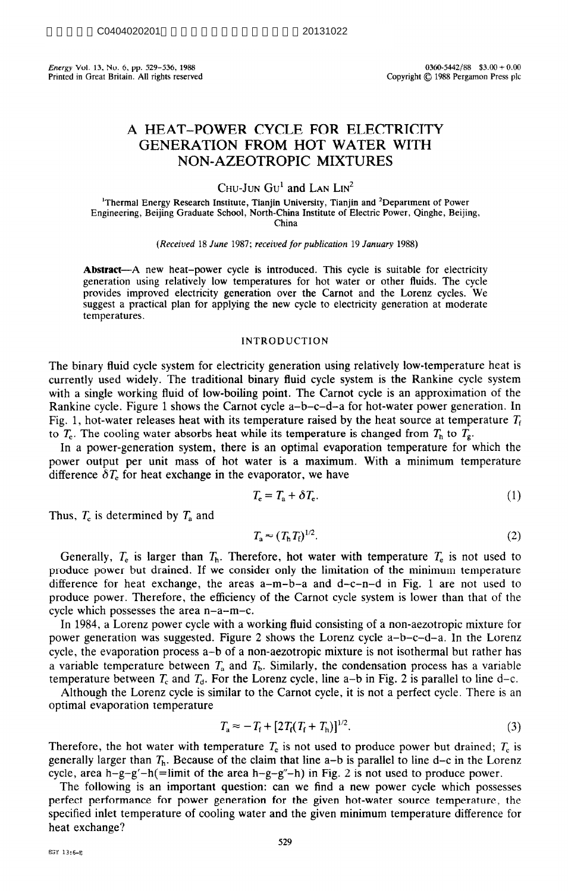Energy Vol. 13, No. 6, pp. 529–536, 1988<br>Printed in Great Britain. All rights reserved **Exerces** 63.00 + 0.00 Copyright © 1988 Pergamon Press plc Printed in Great Britain. All rights reserved

# **A HEAT-POWER CYCLE FOR ELECTRICITY GENERATION FROM HOT WATER WITH NON-AZEOTROPIC MIXTURES**

CHU-JUN  $\text{GU}^1$  and LAN  $\text{LN}^2$ 

<sup>1</sup>Thermal Energy Research Institute, Tianjin University, Tianjin and <sup>2</sup>Department of Power Engineering, Beijing Graduate School, North-China Institute of Electric Power, Qinghe, Beijing, China

*(Received* 18 *June 1987; received for publication 19 January 1988)* 

**Abstract**—A new heat-power cycle is introduced. This cycle is suitable for electricity generation using relatively low temperatures for hot water or other fluids. The cycle provides improved electricity generation over the Carnot and the Lorenz cycles. We suggest a practical plan for applying the new cycle to electricity generation at moderate temperatures.

# INTRODUCTION

The binary fluid cycle system for electricity generation using relatively low-temperature heat is currently used widely. The traditional binary fluid cycle system is the Rankine cycle system with a single working fluid of low-boiling point. The Camot cycle is an approximation of the Rankine cycle. Figure 1 shows the Carnot cycle a-b-c-d-a for hot-water power generation. In Fig. 1, hot-water releases heat with its temperature raised by the heat source at temperature  $T_f$ to  $T_e$ . The cooling water absorbs heat while its temperature is changed from  $T_h$  to  $T_g$ .

In a power-generation system, there is an optimal evaporation temperature for which the power output per unit mass of hot water is a maximum. With a minimum temperature difference  $\delta T_e$  for heat exchange in the evaporator, we have

$$
T_{\rm e} = T_{\rm a} + \delta T_{\rm e}.\tag{1}
$$

Thus,  $T_e$  is determined by  $T_a$  and

$$
T_{\rm a} \approx (T_{\rm h} T_{\rm f})^{1/2}.
$$

Generally,  $T_e$  is larger than  $T_h$ . Therefore, hot water with temperature  $T_e$  is not used to produce power but drained. If we consider only the limitation of the minimum temperature difference for heat exchange, the areas  $a-m-b-a$  and  $d-c-n-d$  in Fig. 1 are not used to produce power. Therefore, the efficiency of the Carnot cycle system is lower than that of the cycle which possesses the area n-a-m-c.

In 1984, a Lorenz power cycle with a working fluid consisting of a non-aezotropic mixture for power generation was suggested. Figure 2 shows the Lorenz cycle a-b-c-d-a. In the Lorenz cycle, the evaporation process a-b of a non-aezotropic mixture is not isothermal but rather has a variable temperature between  $T_a$  and  $T_b$ . Similarly, the condensation process has a variable temperature between  $T_c$  and  $T_d$ . For the Lorenz cycle, line a-b in Fig. 2 is parallel to line d-c.

Although the Lorenz cycle is similar to the Carnot cycle, it is not a perfect cycle. There is an optimal evaporation temperature

$$
T_{\rm a} \approx -T_{\rm f} + [2T_{\rm f}(T_{\rm f} + T_{\rm h})]^{1/2}.
$$
 (3)

Therefore, the hot water with temperature  $T_e$  is not used to produce power but drained;  $T_e$  is generally larger than  $T_h$ . Because of the claim that line a-b is parallel to line d-c in the Lorenz cycle, area h-g-g'-h(=limit of the area h-g-g"-h) in Fig. 2 is not used to produce power.

The following is an important question: can we find a new power cycle which possesses perfect performance for power generation for the given hot-water source temperature, the specified inlet temperature of cooling water and the given minimum temperature difference for heat exchange?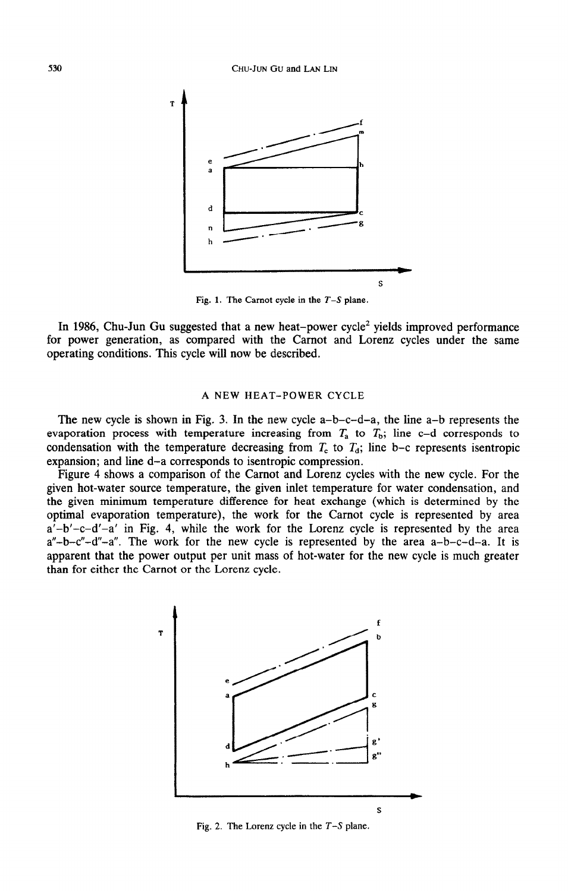

Fig. 1. The Carnot cycle in the  $T-S$  plane.

In 1986, Chu-Jun Gu suggested that a new heat-power cycle<sup>2</sup> yields improved performance for power generation, as compared with the Carnot and Lorenz cycles under the same operating conditions. This cycle will now be described.

## A NEW HEAT-POWER CYCLE

The new cycle is shown in Fig. 3. In the new cycle  $a-b-c-d-a$ , the line  $a-b$  represents the evaporation process with temperature increasing from  $T_a$  to  $T_b$ ; line c-d corresponds to condensation with the temperature decreasing from  $T_c$  to  $T_d$ ; line b-c represents isentropic expansion; and line d-a corresponds to isentropic compression.

Figure 4 shows a comparison of the Carnot and Lorenz cycles with the new cycle. For the given hot-water source temperature, the given inlet temperature for water condensation, and the given minimum temperature difference for heat exchange (which is determined by the optimal evaporation temperature), the work for the Carnot cycle is represented by area  $a' - b' - c - d' - a'$  in Fig. 4, while the work for the Lorenz cycle is represented by the area  $a''-b-c''-d''-a''$ . The work for the new cycle is represented by the area  $a-b-c-d-a$ . It is apparent that the power output per unit mass of hot-water for the new cycle is much greater than for either the Carnot or the Lorenz cycle.



Fig. 2. The Lorenz cycle in the  $T-S$  plane.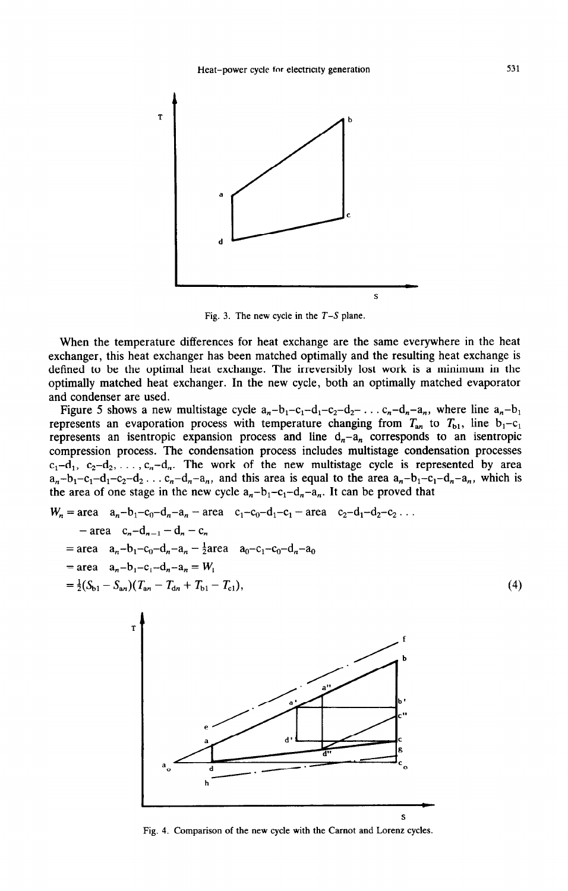

Fig. 3. The new cycle in the  $T-S$  plane.

When the temperature differences for heat exchange are the same everywhere in the heat exchanger, this heat exchanger has been matched optimally and the resulting heat exchange is defined to be the optimal heat exchange. The irreversibly lost work is a minimum in the optimally matched heat exchanger. In the new cycle, both an optimally matched evaporator and condenser are used.

Figure 5 shows a new multistage cycle  $a_n-b_1-c_1-d_1-c_2-d_2-\ldots-c_n-d_n-a_n$ , where line  $a_n-b_1$ represents an evaporation process with temperature changing from  $T_{an}$  to  $T_{b1}$ , line  $b_1 - c_1$ represents an isentropic expansion process and line  $d_n-a_n$  corresponds to an isentropic compression process. The condensation process includes multistage condensation processes  $c_1 - d_1$ ,  $c_2 - d_2$ , ...,  $c_n - d_n$ . The work of the new multistage cycle is represented by area  $a_n-b_1-c_1-d_1-c_2-d_2... c_n-d_n-a_n$ , and this area is equal to the area  $a_n-b_1-c_1-d_n-a_n$ , which is the area of one stage in the new cycle  $a_n-b_1-c_1-d_n-a_n$ . It can be proved that

$$
W_n = \text{area} \quad a_n - b_1 - c_0 - d_n - a_n - \text{area} \quad c_1 - c_0 - d_1 - c_1 - \text{area} \quad c_2 - d_1 - d_2 - c_2 \dots
$$
  
\n
$$
- \text{area} \quad c_n - d_{n-1} - d_n - c_n
$$
  
\n
$$
= \text{area} \quad a_n - b_1 - c_0 - d_n - a_n - \frac{1}{2} \text{area} \quad a_0 - c_1 - c_0 - d_n - a_0
$$
  
\n
$$
= \text{area} \quad a_n - b_1 - c_1 - d_n - a_n = W_1
$$
  
\n
$$
= \frac{1}{2}(S_{b1} - S_{an})(T_{an} - T_{dn} + T_{b1} - T_{c1}),
$$
  
\n(4)



Fig. 4. Comparison of the new cycle with the Carnot and Lorenz cycles.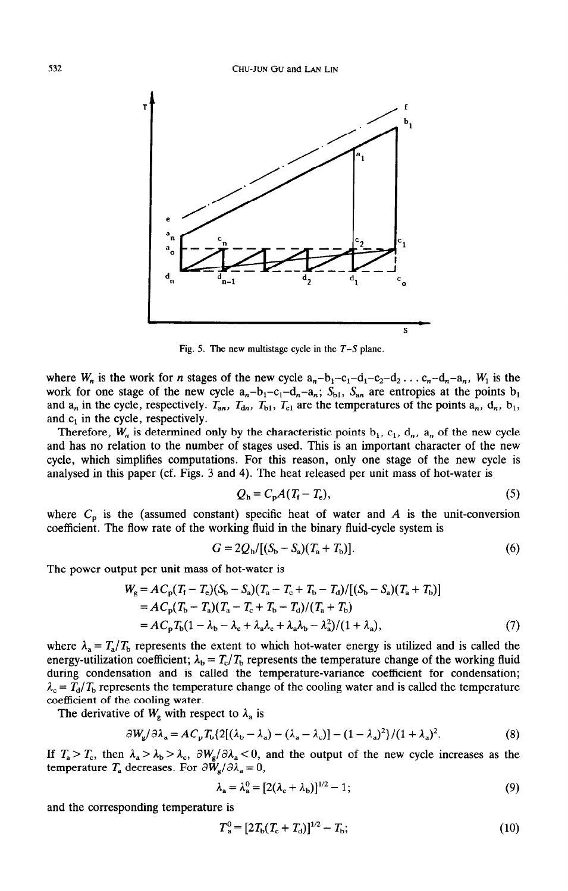

Fig. 5. The new multistage cycle in the  $T-S$  plane.

where  $W_n$  is the work for *n* stages of the new cycle  $a_n-b_1-c_1-d_1-c_2-d_2...c_n-d_n-a_n$ ,  $W_1$  is the work for one stage of the new cycle  $a_n-b_1-c_1-d_n-a_n$ ;  $S_{b1}$ ,  $S_{an}$  are entropies at the points  $b_1$ and  $a_n$  in the cycle, respectively.  $T_{an}$ ,  $T_{dn}$ ,  $T_{b1}$ ,  $T_{c1}$  are the temperatures of the points  $a_n$ ,  $d_n$ ,  $b_1$ , and  $c_1$  in the cycle, respectively.

Therefore,  $W_n$  is determined only by the characteristic points  $b_1$ ,  $c_1$ ,  $d_n$ ,  $a_n$  of the new cycle and has no relation to the number of stages used. This is an important character of the new cycle, which simplifies computations. For this reason, only one stage of the new cycle is analysed in this paper (cf. Figs. 3 and 4). The heat released per unit mass of hot-water is

$$
Q_{\rm h} = C_{\rm p} A (T_{\rm f} - T_{\rm e}), \tag{5}
$$

where  $C_p$  is the (assumed constant) specific heat of water and  $A$  is the unit-conversion coefficient. The flow rate of the working fluid in the binary fluid-cycle system is

$$
G = 2Q_{h}/[(S_{b} - S_{a})(T_{a} + T_{b})].
$$
\n(6)

The power output per unit mass of hot-water is

$$
W_g = AC_p(T_f - T_e)(S_b - S_a)(T_a - T_c + T_b - T_d)/[(S_b - S_a)(T_a + T_b)]
$$
  
=  $AC_p(T_b - T_a)(T_a - T_c + T_b - T_d)/(T_a + T_b)$   
=  $AC_pT_b(1 - \lambda_b - \lambda_c + \lambda_a\lambda_c + \lambda_a\lambda_b - \lambda_a^2)/(1 + \lambda_a),$  (7)

where  $\lambda_a = T_a/T_b$  represents the extent to which hot-water energy is utilized and is called the energy-utilization coefficient;  $\lambda_b = T_c/T_b$  represents the temperature change of the working fluid during condensation and is called the temperature-variance coefficient for condensation;  $\lambda_c = T_d/T_b$  represents the temperature change of the cooling water and is called the temperature coefficient of the cooling water.

The derivative of  $W_g$  with respect to  $\lambda_a$  is

$$
\partial W_{\rm g}/\partial \lambda_{\rm a} = A C_{\rm p} T_{\rm b} \{2[(\lambda_{\rm b} - \lambda_{\rm a}) - (\lambda_{\rm a} - \lambda_{\rm c})] - (1 - \lambda_{\rm a})^2\} / (1 + \lambda_{\rm a})^2. \tag{8}
$$

If  $T_a > T_c$ , then  $\lambda_a > \lambda_b > \lambda_c$ ,  $\partial W_g / \partial \lambda_a < 0$ , and the output of the new cycle increases as the temperature  $T_a$  decreases. For  $\partial W_a/\partial \lambda_a = 0$ ,

$$
\lambda_{\rm a} = \lambda_{\rm a}^0 = [2(\lambda_{\rm c} + \lambda_{\rm b})]^{1/2} - 1; \tag{9}
$$

and the corresponding temperature is

$$
T_a^0 = [2T_b(T_c + T_d)]^{1/2} - T_b;
$$
\n(10)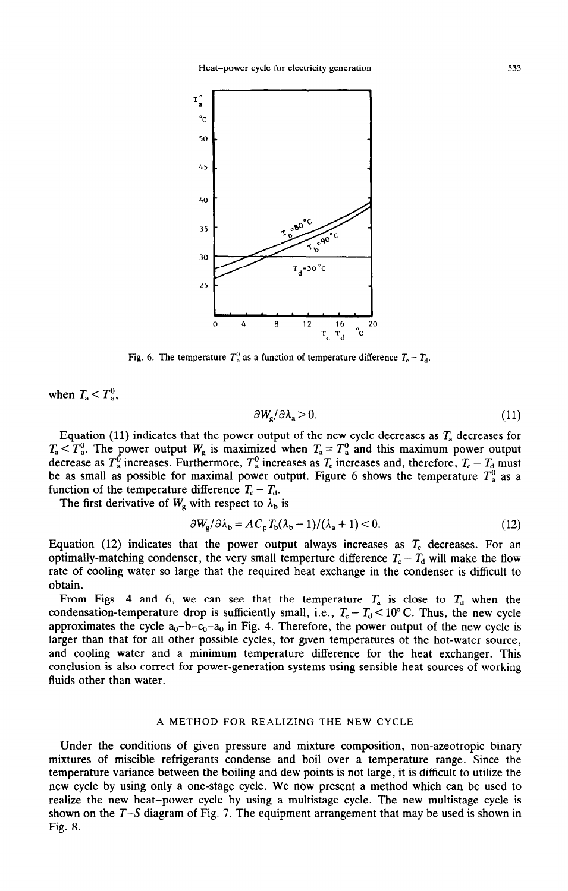

Fig. 6. The temperature  $T_a^0$  as a function of temperature difference  $T_c - T_d$ .

when  $T_a < T_a^0$ ,

$$
\partial W_{\rm g}/\partial \lambda_{\rm a} > 0. \tag{11}
$$

Equation (11) indicates that the power output of the new cycle decreases as  $T_a$  decreases for  $T_a < T_a^0$ . The power output  $W_g$  is maximized when  $T_a = T_a^0$  and this maximum power output decrease as  $T_a^0$  increases. Furthermore,  $T_a^0$  increases as  $T_c$  increases and, therefore,  $T_c - T_d$  must be as small as possible for maximal power output. Figure 6 shows the temperature  $T_a^0$  as a function of the temperature difference  $T_c - T_d$ .

The first derivative of  $W_{\rm g}$  with respect to  $\lambda_{\rm b}$  is

$$
\partial W_{\rm g}/\partial \lambda_{\rm b} = AC_{\rm p}T_{\rm b}(\lambda_{\rm b}-1)/(\lambda_{\rm a}+1) < 0. \tag{12}
$$

Equation (12) indicates that the power output always increases as  $T_c$  decreases. For an optimally-matching condenser, the very small temperture difference  $T_c - T_d$  will make the flow rate of cooling water so large that the required heat exchange in the condenser is difficult to obtain.

From Figs. 4 and 6, we can see that the temperature  $T_a$  is close to  $T_d$  when the condensation-temperature drop is sufficiently small, i.e.,  $T_c - T_d < 10^{\circ}$  C. Thus, the new cycle approximates the cycle  $a_0-b-c_0-a_0$  in Fig. 4. Therefore, the power output of the new cycle is larger than that for all other possible cycles, for given temperatures of the hot-water source, and cooling water and a minimum temperature difference for the heat exchanger. This conclusion is also correct for power-generation systems using sensible heat sources of working fluids other than water.

### A METHOD FOR REALIZING THE NEW CYCLE

Under the conditions of given pressure and mixture composition, non-azeotropic binary mixtures of miscible refrigerants condense and boil over a temperature range. Since the temperature variance between the boiling and dew points is not large, it is difficult to utilize the new cycle by using only a one-stage cycle. We now present a method which can be used to realize the new heat-power cycle by using a multistage cycle. The new multistage cycle is shown on the  $T-S$  diagram of Fig. 7. The equipment arrangement that may be used is shown in Fig. 8.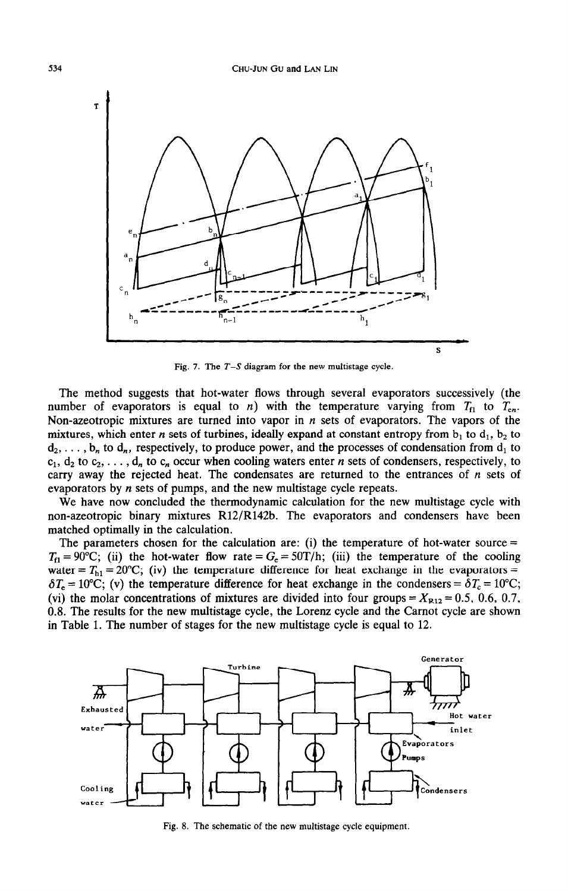

Fig. 7. The  $T-S$  diagram for the new multistage cycle.

The method suggests that hot-water flows through several evaporators successively (the number of evaporators is equal to *n*) with the temperature varying from  $T_{f_1}$  to  $T_{e_n}$ . Non-azeotropic mixtures are turned into vapor in  $n$  sets of evaporators. The vapors of the mixtures, which enter *n* sets of turbines, ideally expand at constant entropy from  $b_1$  to  $d_1$ ,  $b_2$  to  $d_2, \ldots, b_n$  to  $d_n$ , respectively, to produce power, and the processes of condensation from  $d_1$  to  $c_1, d_2$  to  $c_2, \ldots, d_n$  to  $c_n$  occur when cooling waters enter *n* sets of condensers, respectively, to carry away the rejected heat. The condensates are returned to the entrances of  $n$  sets of evaporators by  $n$  sets of pumps, and the new multistage cycle repeats.

We have now concluded the thermodynamic calculation for the new multistage cycle with non-azeotropic binary mixtures R12/R142b. The evaporators and condensers have been matched optimally in the calculation.

The parameters chosen for the calculation are: (i) the temperature of hot-water source  $=$  $T_{f1} = 90^{\circ}$ C; (ii) the hot-water flow rate =  $G_e = 50T/h$ ; (iii) the temperature of the cooling water =  $T<sub>h1</sub>$  = 20°C; (iv) the temperature difference for heat exchange in the evaporators =  $\delta T_e = 10^{\circ}\text{C}$ ; (v) the temperature difference for heat exchange in the condensers =  $\delta T_c = 10^{\circ}\text{C}$ ; (vi) the molar concentrations of mixtures are divided into four groups =  $X_{R12} = 0.5, 0.6, 0.7$ , 0.8. The results for the new multistage cycle, the Lorenz cycle and the Carnot cycle are shown in Table 1. The number of stages for the new multistage cycle is equal to 12.



Fig. 8. The schematic of the new multistage cycle equipment.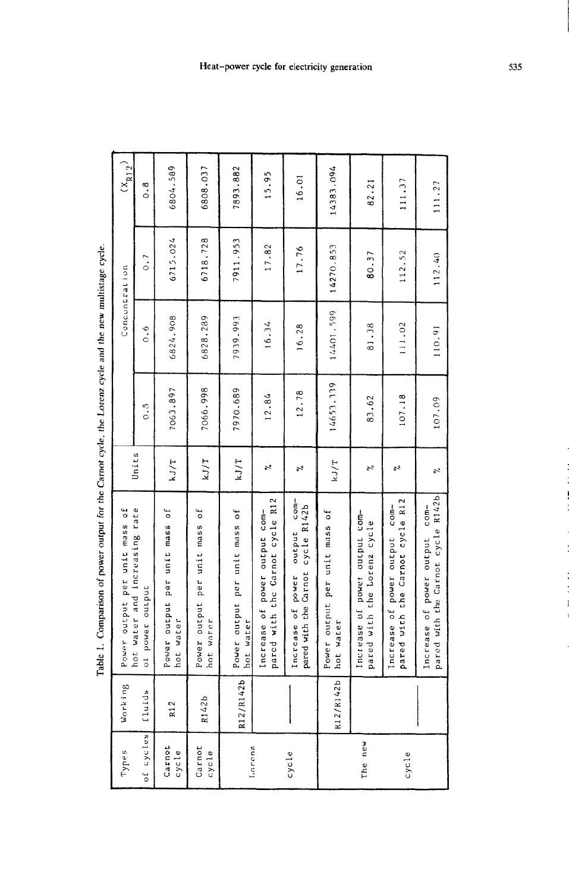| <br>;<br>;                                                                                                           |
|----------------------------------------------------------------------------------------------------------------------|
| ment around the and the new more<br>i din ani                                                                        |
| :<br>;                                                                                                               |
|                                                                                                                      |
| המומוני כאכונ                                                                                                        |
|                                                                                                                      |
| $\sim$                                                                                                               |
| Ì<br>֧֧֪֧֧֪֧֪֧֧֧֧֪֛֧֪֧֧֧֧֧֧֧֧֧֧֛֧֧֧֛֧֧֧֧֛֚֚֚֡֝֟֟֓֕֝֬֝֬֝֓֝֬֝֓֝֬֝֓֝֬֝֓֝֬֝֓֝֬֝֓֝֬֝֓֝֬֝֓֝֬֝֬֝֬֝֬֝֬֝֬֝֬֝֬֝֬֝֬֝֬֝֬֝֬֝֬֝֬֝֝ |
| $\ddot{\phantom{0}}$                                                                                                 |
|                                                                                                                      |
|                                                                                                                      |
|                                                                                                                      |
|                                                                                                                      |
| こく じょくこうこうそう                                                                                                         |
| $\vdots$                                                                                                             |
| <br>i<br>Į                                                                                                           |

| Types           | Working   | Power output per unit mass of                                                    |                                    |           |           | Concentration    | $\binom{X_{R12}}{}$ |
|-----------------|-----------|----------------------------------------------------------------------------------|------------------------------------|-----------|-----------|------------------|---------------------|
| of cycles       | fluids    | hot water and increasing rate<br>power output<br>$\sigma$                        | Units                              | s<br>O    | 0.6       | $\overline{0}$ . | 0.8                 |
| Carnot<br>cycle | R12       | ŏ<br>Power output per unit mass<br>water<br>hot                                  | kJ/T                               | 7063.897  | 6824.908  | 6715.024         | 6804.589            |
| Carnot<br>cycle | R142b     | Power output per unit mass of<br>water<br>hot                                    | kJ/T                               | 7066.998  | 6828.289  | 6718.728         | 6808.037            |
| Lorenz          | R12/R142b | Power output per unit mass of<br>water<br>dot                                    | kJ/T                               | 7970.689  | 7939.993  | 7911.953         | 7893.882            |
|                 |           | ed with the Carnot cycle R12<br>Increase of power output com-<br>par             | $\mathbb{R}^2$                     | 12.84     | 16.34     | 17.82            | 15.95               |
| cycle           |           | $com-$<br>cycle R142b<br>output<br>pared with the Carnot<br>power<br>Increase of | ە<br>م                             | 12.78     | 16.28     | 17.76            | 16.01               |
|                 | R12/R142b | Power output per unit mass of<br>water<br>hot                                    | LJ/T                               | 14653.339 | 14401.599 | 14270.853        | 14383.094           |
| The new         |           | Increase of power output com-<br>pared with the lorenz cycle                     | $\tilde{\zeta}$                    | 83.62     | 81.38     | 80.37            | 82.21               |
| cycle           |           | pared with the Carnot cycle R12<br>Increase of power output com-                 | y,                                 | 107.18    | 111.02    | 112.52           | 111,37              |
|                 |           | pared with the Carnot cycle R142b<br>$com-$<br>Increase of power output          | $\tilde{\mathcal{L}}_{\mathbf{0}}$ | 107.09    | 110.91    | 112.40           | 111.27              |